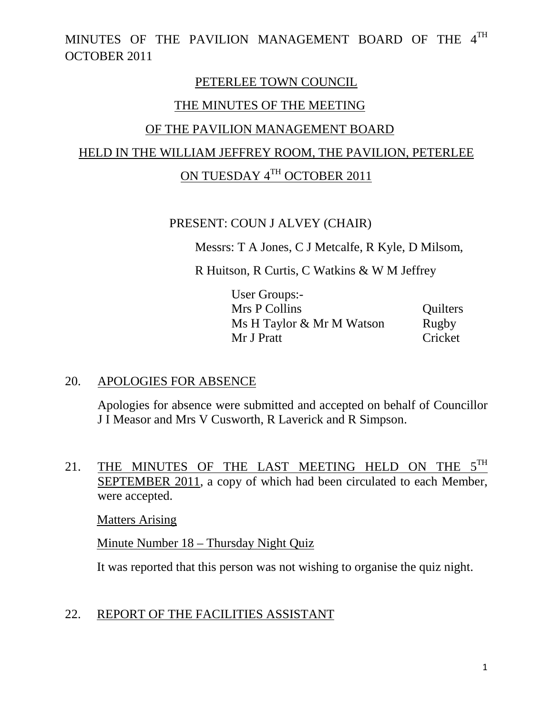#### PETERLEE TOWN COUNCIL

## THE MINUTES OF THE MEETING

## OF THE PAVILION MANAGEMENT BOARD

# HELD IN THE WILLIAM JEFFREY ROOM, THE PAVILION, PETERLEE

# ON TUESDAY 4TH OCTOBER 2011

## PRESENT: COUN J ALVEY (CHAIR)

Messrs: T A Jones, C J Metcalfe, R Kyle, D Milsom,

R Huitson, R Curtis, C Watkins & W M Jeffrey

| User Groups:-             |          |
|---------------------------|----------|
| Mrs P Collins             | Quilters |
| Ms H Taylor & Mr M Watson | Rugby    |
| Mr J Pratt                | Cricket  |

## 20. APOLOGIES FOR ABSENCE

Apologies for absence were submitted and accepted on behalf of Councillor J I Measor and Mrs V Cusworth, R Laverick and R Simpson.

21. THE MINUTES OF THE LAST MEETING HELD ON THE  $5^{TH}$ SEPTEMBER 2011, a copy of which had been circulated to each Member, were accepted.

Matters Arising

Minute Number 18 – Thursday Night Quiz

It was reported that this person was not wishing to organise the quiz night.

# 22. REPORT OF THE FACILITIES ASSISTANT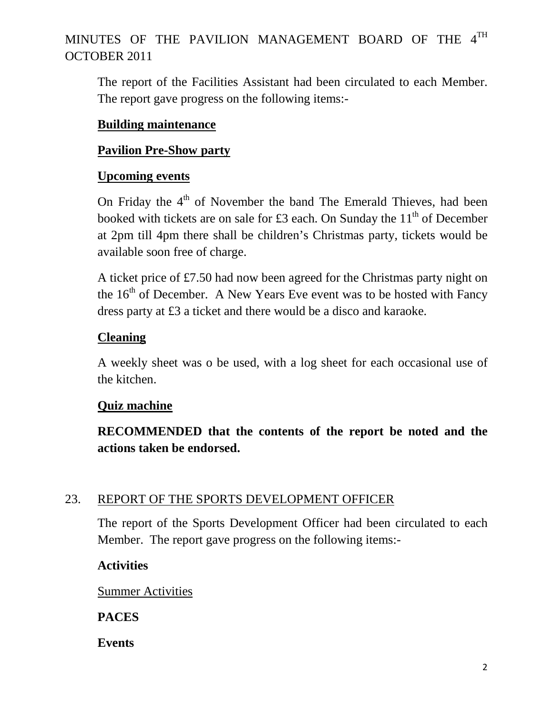The report of the Facilities Assistant had been circulated to each Member. The report gave progress on the following items:-

#### **Building maintenance**

## **Pavilion Pre-Show party**

#### **Upcoming events**

On Friday the  $4<sup>th</sup>$  of November the band The Emerald Thieves, had been booked with tickets are on sale for £3 each. On Sunday the  $11<sup>th</sup>$  of December at 2pm till 4pm there shall be children's Christmas party, tickets would be available soon free of charge.

A ticket price of £7.50 had now been agreed for the Christmas party night on the  $16<sup>th</sup>$  of December. A New Years Eve event was to be hosted with Fancy dress party at £3 a ticket and there would be a disco and karaoke.

## **Cleaning**

A weekly sheet was o be used, with a log sheet for each occasional use of the kitchen.

#### **Quiz machine**

**RECOMMENDED that the contents of the report be noted and the actions taken be endorsed.** 

## 23. REPORT OF THE SPORTS DEVELOPMENT OFFICER

The report of the Sports Development Officer had been circulated to each Member. The report gave progress on the following items:-

## **Activities**

Summer Activities

**PACES** 

**Events**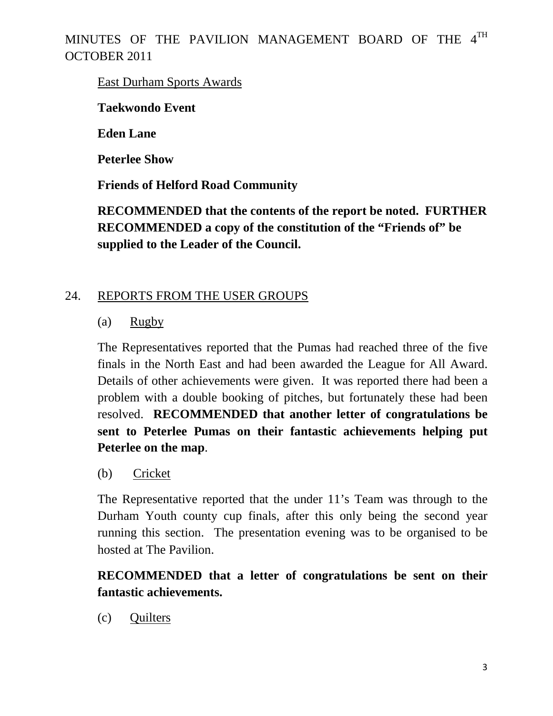East Durham Sports Awards

**Taekwondo Event** 

**Eden Lane** 

**Peterlee Show** 

**Friends of Helford Road Community** 

**RECOMMENDED that the contents of the report be noted. FURTHER RECOMMENDED a copy of the constitution of the "Friends of" be supplied to the Leader of the Council.**

# 24. REPORTS FROM THE USER GROUPS

# (a) Rugby

The Representatives reported that the Pumas had reached three of the five finals in the North East and had been awarded the League for All Award. Details of other achievements were given. It was reported there had been a problem with a double booking of pitches, but fortunately these had been resolved. **RECOMMENDED that another letter of congratulations be sent to Peterlee Pumas on their fantastic achievements helping put Peterlee on the map**.

(b) Cricket

The Representative reported that the under 11's Team was through to the Durham Youth county cup finals, after this only being the second year running this section. The presentation evening was to be organised to be hosted at The Pavilion.

# **RECOMMENDED that a letter of congratulations be sent on their fantastic achievements.**

(c) Quilters